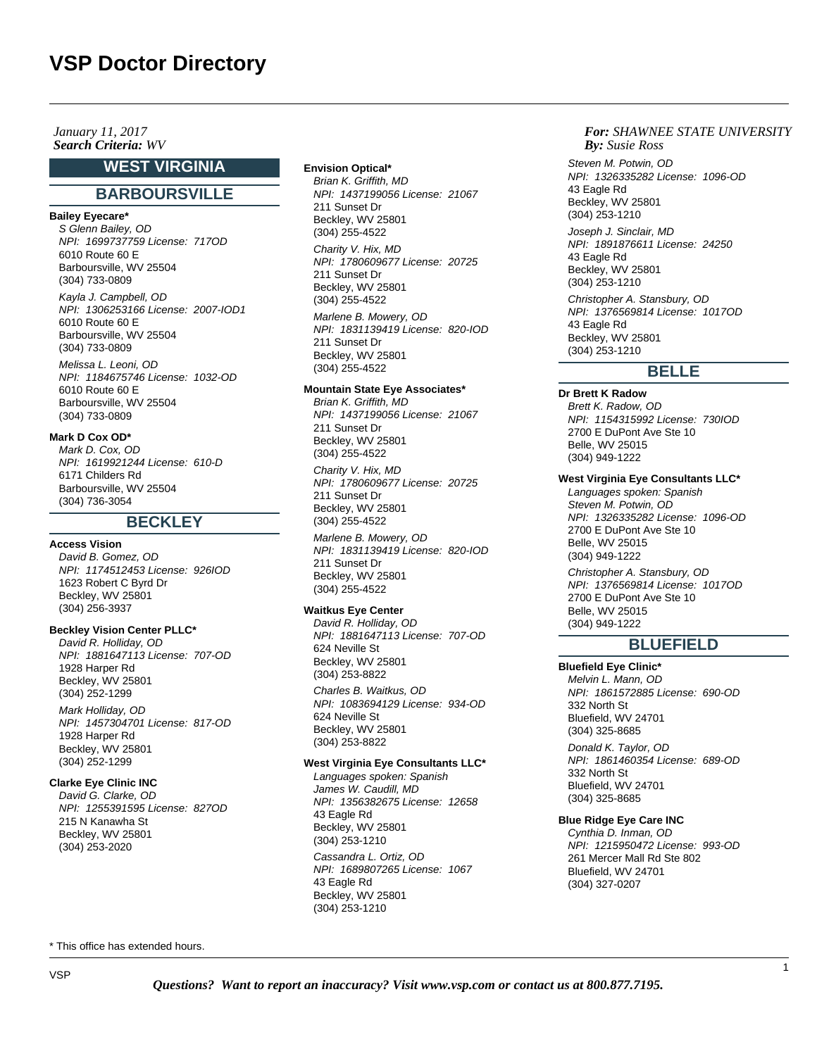**Search Criteria:** WV **By: By: By: By: By: By: By: By: By: By: By: By: By: By: By: By: By: By: By: By: By: By: By: By: By: By: By: By: By: By: By: By: By: B** *January 11, 2017*

### **WEST VIRGINIA**

### **BARBOURSVILLE**

### **Bailey Eyecare\***

S Glenn Bailey, OD NPI: 1699737759 License: 717OD 6010 Route 60 E Barboursville, WV 25504 (304) 733-0809

Kayla J. Campbell, OD NPI: 1306253166 License: 2007-IOD1 6010 Route 60 E Barboursville, WV 25504 (304) 733-0809 Melissa L. Leoni, OD

NPI: 1184675746 License: 1032-OD 6010 Route 60 E Barboursville, WV 25504 (304) 733-0809

#### **Mark D Cox OD\***

Mark D. Cox, OD NPI: 1619921244 License: 610-D 6171 Childers Rd Barboursville, WV 25504 (304) 736-3054

### **BECKLEY**

### **Access Vision**

David B. Gomez, OD NPI: 1174512453 License: 926IOD 1623 Robert C Byrd Dr Beckley, WV 25801 (304) 256-3937

### **Beckley Vision Center PLLC\***

David R. Holliday, OD NPI: 1881647113 License: 707-OD 1928 Harper Rd Beckley, WV 25801 (304) 252-1299 Mark Holliday, OD NPI: 1457304701 License: 817-OD 1928 Harper Rd Beckley, WV 25801 (304) 252-1299

#### **Clarke Eye Clinic INC**

David G. Clarke, OD NPI: 1255391595 License: 827OD 215 N Kanawha St Beckley, WV 25801 (304) 253-2020

**Envision Optical\***

Brian K. Griffith, MD NPI: 1437199056 License: 21067 211 Sunset Dr Beckley, WV 25801 (304) 255-4522 Charity V. Hix, MD NPI: 1780609677 License: 20725 211 Sunset Dr Beckley, WV 25801 (304) 255-4522

Marlene B. Mowery, OD NPI: 1831139419 License: 820-IOD 211 Sunset Dr Beckley, WV 25801 (304) 255-4522

#### **Mountain State Eye Associates\***

Brian K. Griffith, MD NPI: 1437199056 License: 21067 211 Sunset Dr Beckley, WV 25801 (304) 255-4522

Charity V. Hix, MD NPI: 1780609677 License: 20725 211 Sunset Dr Beckley, WV 25801 (304) 255-4522

Marlene B. Mowery, OD NPI: 1831139419 License: 820-IOD 211 Sunset Dr Beckley, WV 25801 (304) 255-4522

#### **Waitkus Eye Center**

David R. Holliday, OD NPI: 1881647113 License: 707-OD 624 Neville St Beckley, WV 25801 (304) 253-8822

Charles B. Waitkus, OD NPI: 1083694129 License: 934-OD 624 Neville St Beckley, WV 25801 (304) 253-8822

#### **West Virginia Eye Consultants LLC\***

Languages spoken: Spanish James W. Caudill, MD NPI: 1356382675 License: 12658 43 Eagle Rd Beckley, WV 25801 (304) 253-1210

Cassandra L. Ortiz, OD NPI: 1689807265 License: 1067 43 Eagle Rd Beckley, WV 25801 (304) 253-1210

### *For: SHAWNEE STATE UNIVERSITY Susie Ross*

Steven M. Potwin, OD NPI: 1326335282 License: 1096-OD 43 Eagle Rd Beckley, WV 25801 (304) 253-1210 Joseph J. Sinclair, MD NPI: 1891876611 License: 24250 43 Eagle Rd Beckley, WV 25801 (304) 253-1210 Christopher A. Stansbury, OD NPI: 1376569814 License: 1017OD 43 Eagle Rd Beckley, WV 25801 (304) 253-1210

### **BELLE**

### **Dr Brett K Radow**

Brett K. Radow, OD NPI: 1154315992 License: 730IOD 2700 E DuPont Ave Ste 10 Belle, WV 25015 (304) 949-1222

### **West Virginia Eye Consultants LLC\***

Languages spoken: Spanish Steven M. Potwin, OD NPI: 1326335282 License: 1096-OD 2700 E DuPont Ave Ste 10 Belle, WV 25015 (304) 949-1222

Christopher A. Stansbury, OD NPI: 1376569814 License: 1017OD 2700 E DuPont Ave Ste 10 Belle, WV 25015 (304) 949-1222

### **BLUEFIELD**

#### **Bluefield Eye Clinic\***

Melvin L. Mann, OD NPI: 1861572885 License: 690-OD 332 North St Bluefield, WV 24701 (304) 325-8685 Donald K. Taylor, OD NPI: 1861460354 License: 689-OD 332 North St Bluefield, WV 24701 (304) 325-8685

### **Blue Ridge Eye Care INC**

Cynthia D. Inman, OD NPI: 1215950472 License: 993-OD 261 Mercer Mall Rd Ste 802 Bluefield, WV 24701 (304) 327-0207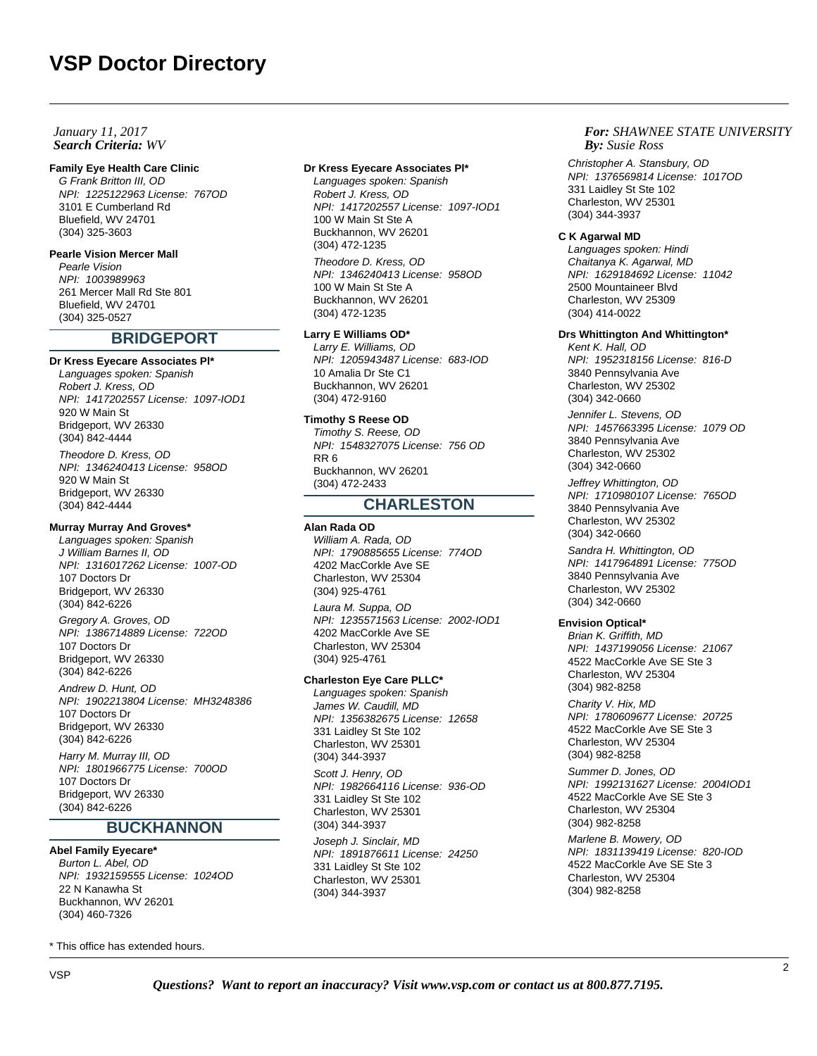### **Search Criteria:** WV **By: By: By: By: By: By: By: By: By: By: By: By: By: By: By: By: By: By: By: By: By: By: By: By: By: By: By: By: By: By: By: By: By: B** *January 11, 2017*

### **Family Eye Health Care Clinic**

G Frank Britton III, OD NPI: 1225122963 License: 767OD 3101 E Cumberland Rd Bluefield, WV 24701 (304) 325-3603

### **Pearle Vision Mercer Mall**

Pearle Vision NPI: 1003989963 261 Mercer Mall Rd Ste 801 Bluefield, WV 24701 (304) 325-0527

### **BRIDGEPORT**

#### **Dr Kress Eyecare Associates Pl\***

Languages spoken: Spanish Robert J. Kress, OD NPI: 1417202557 License: 1097-IOD1 920 W Main St Bridgeport, WV 26330 (304) 842-4444 Theodore D. Kress, OD NPI: 1346240413 License: 958OD

920 W Main St Bridgeport, WV 26330 (304) 842-4444

### **Murray Murray And Groves\***

Languages spoken: Spanish J William Barnes II, OD NPI: 1316017262 License: 1007-OD 107 Doctors Dr Bridgeport, WV 26330 (304) 842-6226 Gregory A. Groves, OD NPI: 1386714889 License: 722OD 107 Doctors Dr Bridgeport, WV 26330 (304) 842-6226

Andrew D. Hunt, OD NPI: 1902213804 License: MH3248386 107 Doctors Dr Bridgeport, WV 26330 (304) 842-6226

Harry M. Murray III, OD NPI: 1801966775 License: 700OD 107 Doctors Dr Bridgeport, WV 26330 (304) 842-6226

# **BUCKHANNON**

### **Abel Family Eyecare\***

Burton L. Abel, OD NPI: 1932159555 License: 1024OD 22 N Kanawha St Buckhannon, WV 26201 (304) 460-7326

\* This office has extended hours.

#### **Dr Kress Eyecare Associates Pl\***

Languages spoken: Spanish Robert J. Kress, OD NPI: 1417202557 License: 1097-IOD1 100 W Main St Ste A Buckhannon, WV 26201 (304) 472-1235

Theodore D. Kress, OD NPI: 1346240413 License: 958OD 100 W Main St Ste A Buckhannon, WV 26201 (304) 472-1235

### **Larry E Williams OD\***

Larry E. Williams, OD NPI: 1205943487 License: 683-IOD 10 Amalia Dr Ste C1 Buckhannon, WV 26201 (304) 472-9160

#### **Timothy S Reese OD**

Timothy S. Reese, OD NPI: 1548327075 License: 756 OD RR 6 Buckhannon, WV 26201 (304) 472-2433

### **CHARLESTON**

### **Alan Rada OD**

William A. Rada, OD NPI: 1790885655 License: 774OD 4202 MacCorkle Ave SE Charleston, WV 25304 (304) 925-4761

Laura M. Suppa, OD NPI: 1235571563 License: 2002-IOD1 4202 MacCorkle Ave SE Charleston, WV 25304 (304) 925-4761

### **Charleston Eye Care PLLC\***

Languages spoken: Spanish James W. Caudill, MD NPI: 1356382675 License: 12658 331 Laidley St Ste 102 Charleston, WV 25301 (304) 344-3937 Scott J. Henry, OD NPI: 1982664116 License: 936-OD 331 Laidley St Ste 102 Charleston, WV 25301 (304) 344-3937 Joseph J. Sinclair, MD NPI: 1891876611 License: 24250 331 Laidley St Ste 102 Charleston, WV 25301 (304) 344-3937

### *For: SHAWNEE STATE UNIVERSITY Susie Ross*

Christopher A. Stansbury, OD NPI: 1376569814 License: 1017OD 331 Laidley St Ste 102 Charleston, WV 25301 (304) 344-3937

#### **C K Agarwal MD**

Languages spoken: Hindi Chaitanya K. Agarwal, MD NPI: 1629184692 License: 11042 2500 Mountaineer Blvd Charleston, WV 25309 (304) 414-0022

### **Drs Whittington And Whittington\***

Kent K. Hall, OD NPI: 1952318156 License: 816-D 3840 Pennsylvania Ave Charleston, WV 25302 (304) 342-0660

Jennifer L. Stevens, OD NPI: 1457663395 License: 1079 OD 3840 Pennsylvania Ave Charleston, WV 25302 (304) 342-0660

Jeffrey Whittington, OD NPI: 1710980107 License: 765OD 3840 Pennsylvania Ave Charleston, WV 25302 (304) 342-0660

Sandra H. Whittington, OD NPI: 1417964891 License: 775OD 3840 Pennsylvania Ave Charleston, WV 25302 (304) 342-0660

### **Envision Optical\***

Brian K. Griffith, MD NPI: 1437199056 License: 21067 4522 MacCorkle Ave SE Ste 3 Charleston, WV 25304 (304) 982-8258

Charity V. Hix, MD NPI: 1780609677 License: 20725 4522 MacCorkle Ave SE Ste 3 Charleston, WV 25304 (304) 982-8258

Summer D. Jones, OD NPI: 1992131627 License: 2004IOD1 4522 MacCorkle Ave SE Ste 3 Charleston, WV 25304 (304) 982-8258

Marlene B. Mowery, OD NPI: 1831139419 License: 820-IOD 4522 MacCorkle Ave SE Ste 3 Charleston, WV 25304 (304) 982-8258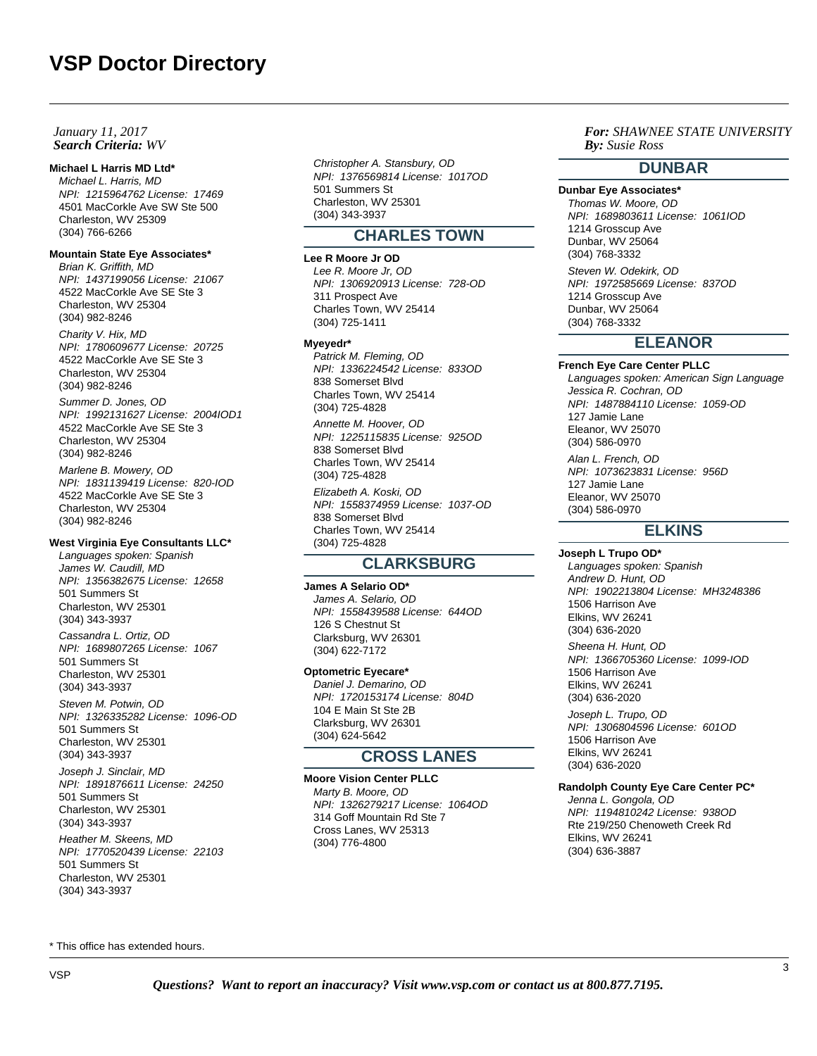### **Search Criteria:** WV **By: By: By: By: By: By: By: By: By: By: By: By: By: By: By: By: By: By: By: By: By: By: By: By: By: By: By: By: By: By: By: By: By: B** *January 11, 2017*

#### **Michael L Harris MD Ltd\***

Michael L. Harris, MD NPI: 1215964762 License: 17469 4501 MacCorkle Ave SW Ste 500 Charleston, WV 25309 (304) 766-6266

### **Mountain State Eye Associates\***

Brian K. Griffith, MD NPI: 1437199056 License: 21067 4522 MacCorkle Ave SE Ste 3 Charleston, WV 25304 (304) 982-8246

Charity V. Hix, MD NPI: 1780609677 License: 20725 4522 MacCorkle Ave SE Ste 3 Charleston, WV 25304 (304) 982-8246

Summer D. Jones, OD NPI: 1992131627 License: 2004IOD1 4522 MacCorkle Ave SE Ste 3 Charleston, WV 25304 (304) 982-8246

Marlene B. Mowery, OD NPI: 1831139419 License: 820-IOD 4522 MacCorkle Ave SE Ste 3 Charleston, WV 25304 (304) 982-8246

### **West Virginia Eye Consultants LLC\***

Languages spoken: Spanish James W. Caudill, MD NPI: 1356382675 License: 12658 501 Summers St Charleston, WV 25301 (304) 343-3937

Cassandra L. Ortiz, OD NPI: 1689807265 License: 1067 501 Summers St Charleston, WV 25301 (304) 343-3937

Steven M. Potwin, OD NPI: 1326335282 License: 1096-OD 501 Summers St Charleston, WV 25301 (304) 343-3937

Joseph J. Sinclair, MD NPI: 1891876611 License: 24250 501 Summers St Charleston, WV 25301 (304) 343-3937 Heather M. Skeens, MD NPI: 1770520439 License: 22103

501 Summers St Charleston, WV 25301 (304) 343-3937

Christopher A. Stansbury, OD NPI: 1376569814 License: 1017OD 501 Summers St Charleston, WV 25301 (304) 343-3937

# **CHARLES TOWN**

### **Lee R Moore Jr OD**

Lee R. Moore Jr, OD NPI: 1306920913 License: 728-OD 311 Prospect Ave Charles Town, WV 25414 (304) 725-1411

#### **Myeyedr\***

Patrick M. Fleming, OD NPI: 1336224542 License: 833OD 838 Somerset Blvd Charles Town, WV 25414 (304) 725-4828 Annette M. Hoover, OD NPI: 1225115835 License: 925OD

838 Somerset Blvd Charles Town, WV 25414 (304) 725-4828

Elizabeth A. Koski, OD NPI: 1558374959 License: 1037-OD 838 Somerset Blvd Charles Town, WV 25414 (304) 725-4828

## **CLARKSBURG**

**James A Selario OD\*** James A. Selario, OD NPI: 1558439588 License: 644OD 126 S Chestnut St Clarksburg, WV 26301 (304) 622-7172

### **Optometric Eyecare\***

Daniel J. Demarino, OD NPI: 1720153174 License: 804D 104 E Main St Ste 2B Clarksburg, WV 26301 (304) 624-5642

# **CROSS LANES**

**Moore Vision Center PLLC** Marty B. Moore, OD NPI: 1326279217 License: 1064OD 314 Goff Mountain Rd Ste 7 Cross Lanes, WV 25313 (304) 776-4800

*For: SHAWNEE STATE UNIVERSITY Susie Ross*

### **DUNBAR**

**Dunbar Eye Associates\*** Thomas W. Moore, OD NPI: 1689803611 License: 1061IOD 1214 Grosscup Ave Dunbar, WV 25064 (304) 768-3332

Steven W. Odekirk, OD NPI: 1972585669 License: 837OD 1214 Grosscup Ave Dunbar, WV 25064 (304) 768-3332

### **ELEANOR**

**French Eye Care Center PLLC** Languages spoken: American Sign Language Jessica R. Cochran, OD NPI: 1487884110 License: 1059-OD 127 Jamie Lane Eleanor, WV 25070 (304) 586-0970 Alan L. French, OD NPI: 1073623831 License: 956D 127 Jamie Lane Eleanor, WV 25070 (304) 586-0970

### **ELKINS**

### **Joseph L Trupo OD\***

Languages spoken: Spanish Andrew D. Hunt, OD NPI: 1902213804 License: MH3248386 1506 Harrison Ave Elkins, WV 26241 (304) 636-2020 Sheena H. Hunt, OD NPI: 1366705360 License: 1099-IOD

1506 Harrison Ave Elkins, WV 26241 (304) 636-2020

Joseph L. Trupo, OD NPI: 1306804596 License: 601OD 1506 Harrison Ave Elkins, WV 26241 (304) 636-2020

### **Randolph County Eye Care Center PC\***

Jenna L. Gongola, OD NPI: 1194810242 License: 938OD Rte 219/250 Chenoweth Creek Rd Elkins, WV 26241 (304) 636-3887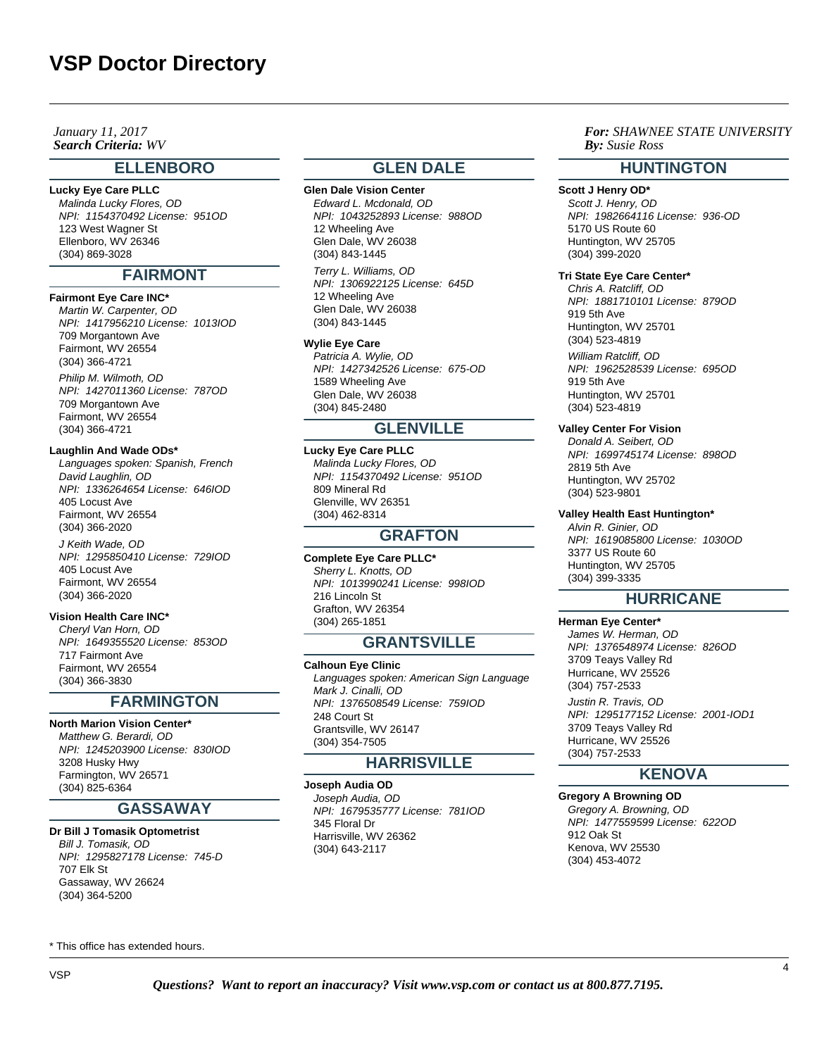**Search Criteria:** WV **By: By: By: By: By: By: By: By: By: By: By: By: By: By: By: By: By: By: By: By: By: By: By: By: By: By: By: By: By: By: By: By: By: B** *January 11, 2017*

### **ELLENBORO**

### **Lucky Eye Care PLLC**

Malinda Lucky Flores, OD NPI: 1154370492 License: 951OD 123 West Wagner St Ellenboro, WV 26346 (304) 869-3028

## **FAIRMONT**

#### **Fairmont Eye Care INC\***

Martin W. Carpenter, OD NPI: 1417956210 License: 1013IOD 709 Morgantown Ave Fairmont, WV 26554 (304) 366-4721

Philip M. Wilmoth, OD NPI: 1427011360 License: 787OD 709 Morgantown Ave Fairmont, WV 26554 (304) 366-4721

#### **Laughlin And Wade ODs\***

Languages spoken: Spanish, French David Laughlin, OD NPI: 1336264654 License: 646IOD 405 Locust Ave Fairmont, WV 26554 (304) 366-2020

J Keith Wade, OD NPI: 1295850410 License: 729IOD 405 Locust Ave Fairmont, WV 26554 (304) 366-2020

### **Vision Health Care INC\***

Cheryl Van Horn, OD NPI: 1649355520 License: 853OD 717 Fairmont Ave Fairmont, WV 26554 (304) 366-3830

### **FARMINGTON**

**North Marion Vision Center\***

Matthew G. Berardi, OD NPI: 1245203900 License: 830IOD 3208 Husky Hwy Farmington, WV 26571 (304) 825-6364

# **GASSAWAY**

**Dr Bill J Tomasik Optometrist**

Bill J. Tomasik, OD NPI: 1295827178 License: 745-D 707 Elk St Gassaway, WV 26624 (304) 364-5200

### **GLEN DALE**

### **Glen Dale Vision Center**

Edward L. Mcdonald, OD NPI: 1043252893 License: 988OD 12 Wheeling Ave Glen Dale, WV 26038 (304) 843-1445

Terry L. Williams, OD NPI: 1306922125 License: 645D 12 Wheeling Ave Glen Dale, WV 26038 (304) 843-1445

#### **Wylie Eye Care**

Patricia A. Wylie, OD NPI: 1427342526 License: 675-OD 1589 Wheeling Ave Glen Dale, WV 26038 (304) 845-2480

### **GLENVILLE**

**Lucky Eye Care PLLC** Malinda Lucky Flores, OD NPI: 1154370492 License: 951OD 809 Mineral Rd Glenville, WV 26351 (304) 462-8314

### **GRAFTON**

**Complete Eye Care PLLC\*** Sherry L. Knotts, OD NPI: 1013990241 License: 998IOD 216 Lincoln St Grafton, WV 26354 (304) 265-1851

### **GRANTSVILLE**

**Calhoun Eye Clinic** Languages spoken: American Sign Language Mark J. Cinalli, OD NPI: 1376508549 License: 759IOD 248 Court St Grantsville, WV 26147 (304) 354-7505

# **HARRISVILLE**

**Joseph Audia OD** Joseph Audia, OD NPI: 1679535777 License: 781IOD 345 Floral Dr Harrisville, WV 26362 (304) 643-2117

### *For: SHAWNEE STATE UNIVERSITY Susie Ross*

### **HUNTINGTON**

#### **Scott J Henry OD\***

Scott J. Henry, OD NPI: 1982664116 License: 936-OD 5170 US Route 60 Huntington, WV 25705 (304) 399-2020

### **Tri State Eye Care Center\***

Chris A. Ratcliff, OD NPI: 1881710101 License: 879OD 919 5th Ave Huntington, WV 25701 (304) 523-4819 William Ratcliff, OD NPI: 1962528539 License: 695OD 919 5th Ave Huntington, WV 25701 (304) 523-4819

#### **Valley Center For Vision**

Donald A. Seibert, OD NPI: 1699745174 License: 898OD 2819 5th Ave Huntington, WV 25702 (304) 523-9801

### **Valley Health East Huntington\***

Alvin R. Ginier, OD NPI: 1619085800 License: 1030OD 3377 US Route 60 Huntington, WV 25705 (304) 399-3335

### **HURRICANE**

#### **Herman Eye Center\***

James W. Herman, OD NPI: 1376548974 License: 826OD 3709 Teays Valley Rd Hurricane, WV 25526 (304) 757-2533

Justin R. Travis, OD NPI: 1295177152 License: 2001-IOD1 3709 Teays Valley Rd Hurricane, WV 25526 (304) 757-2533

# **KENOVA**

### **Gregory A Browning OD**

Gregory A. Browning, OD NPI: 1477559599 License: 622OD 912 Oak St Kenova, WV 25530 (304) 453-4072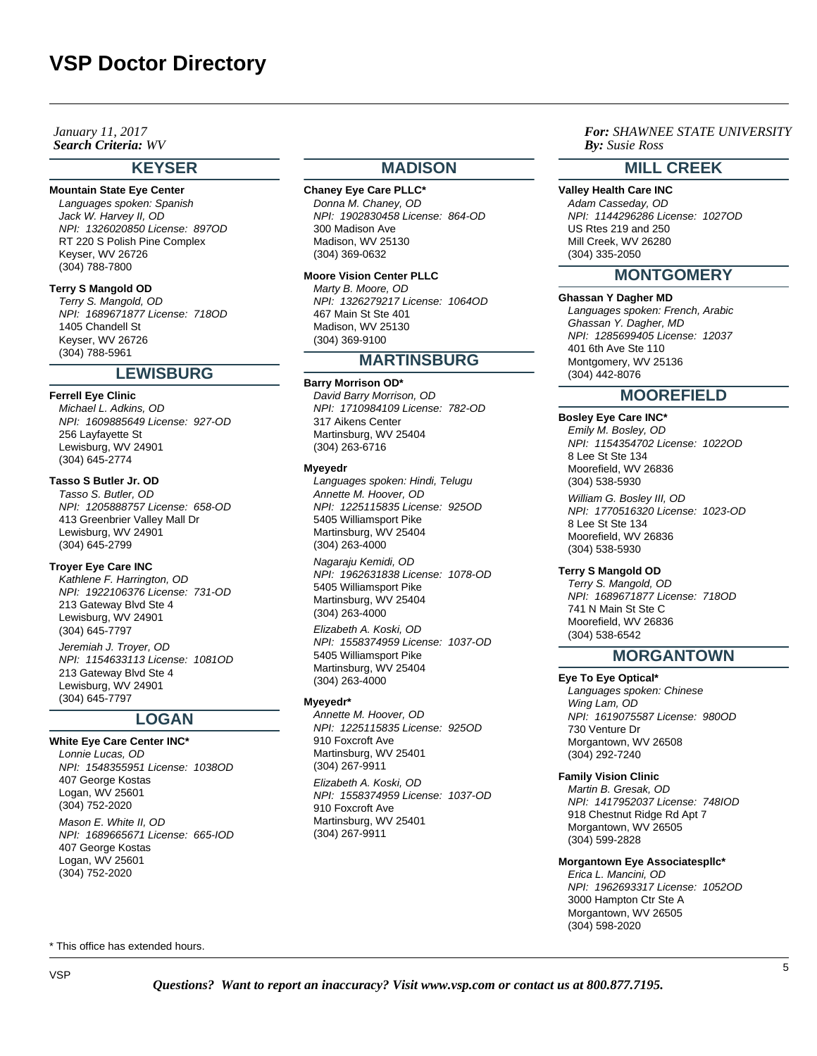### **Search Criteria:** WV **By: By: By: By: By: By: By: By: By: By: By: By: By: By: By: By: By: By: By: By: By: By: By: By: By: By: By: By: By: By: By: By: By: B** *January 11, 2017*

### **KEYSER**

### **Mountain State Eye Center**

Languages spoken: Spanish Jack W. Harvey II, OD NPI: 1326020850 License: 897OD RT 220 S Polish Pine Complex Keyser, WV 26726 (304) 788-7800

#### **Terry S Mangold OD**

Terry S. Mangold, OD NPI: 1689671877 License: 718OD 1405 Chandell St Keyser, WV 26726 (304) 788-5961

# **LEWISBURG**

#### **Ferrell Eye Clinic**

Michael L. Adkins, OD NPI: 1609885649 License: 927-OD 256 Layfayette St Lewisburg, WV 24901 (304) 645-2774

### **Tasso S Butler Jr. OD**

Tasso S. Butler, OD NPI: 1205888757 License: 658-OD 413 Greenbrier Valley Mall Dr Lewisburg, WV 24901 (304) 645-2799

### **Troyer Eye Care INC**

Kathlene F. Harrington, OD NPI: 1922106376 License: 731-OD 213 Gateway Blvd Ste 4 Lewisburg, WV 24901 (304) 645-7797

Jeremiah J. Troyer, OD NPI: 1154633113 License: 1081OD 213 Gateway Blvd Ste 4 Lewisburg, WV 24901 (304) 645-7797

### **LOGAN**

### **White Eye Care Center INC\***

Lonnie Lucas, OD NPI: 1548355951 License: 1038OD 407 George Kostas Logan, WV 25601 (304) 752-2020 Mason E. White II, OD NPI: 1689665671 License: 665-IOD 407 George Kostas Logan, WV 25601 (304) 752-2020

### **MADISON**

#### **Chaney Eye Care PLLC\***

Donna M. Chaney, OD NPI: 1902830458 License: 864-OD 300 Madison Ave Madison, WV 25130 (304) 369-0632

#### **Moore Vision Center PLLC**

Marty B. Moore, OD NPI: 1326279217 License: 1064OD 467 Main St Ste 401 Madison, WV 25130 (304) 369-9100

### **MARTINSBURG**

#### **Barry Morrison OD\***

David Barry Morrison, OD NPI: 1710984109 License: 782-OD 317 Aikens Center Martinsburg, WV 25404 (304) 263-6716

#### **Myeyedr**

Languages spoken: Hindi, Telugu Annette M. Hoover, OD NPI: 1225115835 License: 925OD 5405 Williamsport Pike Martinsburg, WV 25404 (304) 263-4000

Nagaraju Kemidi, OD NPI: 1962631838 License: 1078-OD 5405 Williamsport Pike Martinsburg, WV 25404 (304) 263-4000

Elizabeth A. Koski, OD NPI: 1558374959 License: 1037-OD 5405 Williamsport Pike Martinsburg, WV 25404 (304) 263-4000

### **Myeyedr\***

Annette M. Hoover, OD NPI: 1225115835 License: 925OD 910 Foxcroft Ave Martinsburg, WV 25401 (304) 267-9911

Elizabeth A. Koski, OD NPI: 1558374959 License: 1037-OD 910 Foxcroft Ave Martinsburg, WV 25401 (304) 267-9911

### *For: SHAWNEE STATE UNIVERSITY Susie Ross*

### **MILL CREEK**

**Valley Health Care INC** Adam Casseday, OD NPI: 1144296286 License: 1027OD US Rtes 219 and 250 Mill Creek, WV 26280 (304) 335-2050

### **MONTGOMERY**

### **Ghassan Y Dagher MD**

Languages spoken: French, Arabic Ghassan Y. Dagher, MD NPI: 1285699405 License: 12037 401 6th Ave Ste 110 Montgomery, WV 25136 (304) 442-8076

### **MOOREFIELD**

### **Bosley Eye Care INC\***

Emily M. Bosley, OD NPI: 1154354702 License: 1022OD 8 Lee St Ste 134 Moorefield, WV 26836 (304) 538-5930

William G. Bosley III, OD NPI: 1770516320 License: 1023-OD 8 Lee St Ste 134 Moorefield, WV 26836 (304) 538-5930

### **Terry S Mangold OD**

Terry S. Mangold, OD NPI: 1689671877 License: 718OD 741 N Main St Ste C Moorefield, WV 26836 (304) 538-6542

# **MORGANTOWN**

### **Eye To Eye Optical\***

Languages spoken: Chinese Wing Lam, OD NPI: 1619075587 License: 980OD 730 Venture Dr Morgantown, WV 26508 (304) 292-7240

#### **Family Vision Clinic**

Martin B. Gresak, OD NPI: 1417952037 License: 748IOD 918 Chestnut Ridge Rd Apt 7 Morgantown, WV 26505 (304) 599-2828

### **Morgantown Eye Associatespllc\***

Erica L. Mancini, OD NPI: 1962693317 License: 1052OD 3000 Hampton Ctr Ste A Morgantown, WV 26505 (304) 598-2020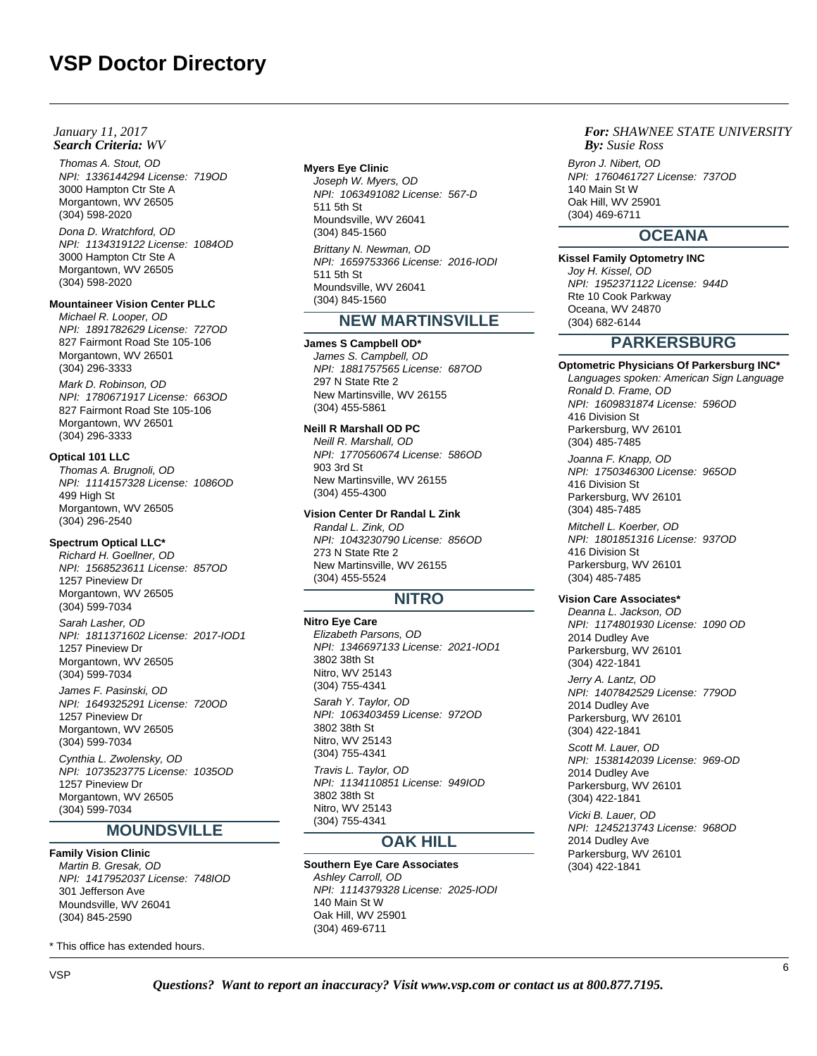### **Search Criteria:** WV **By: By: By: By: By: By: By: By: By: By: By: By: By: By: By: By: By: By: By: By: By: By: By: By: By: By: By: By: By: By: By: By: By: B** *January 11, 2017*

Thomas A. Stout, OD NPI: 1336144294 License: 719OD 3000 Hampton Ctr Ste A Morgantown, WV 26505 (304) 598-2020

Dona D. Wratchford, OD NPI: 1134319122 License: 1084OD 3000 Hampton Ctr Ste A Morgantown, WV 26505 (304) 598-2020

### **Mountaineer Vision Center PLLC**

Michael R. Looper, OD NPI: 1891782629 License: 727OD 827 Fairmont Road Ste 105-106 Morgantown, WV 26501 (304) 296-3333

Mark D. Robinson, OD NPI: 1780671917 License: 663OD 827 Fairmont Road Ste 105-106 Morgantown, WV 26501 (304) 296-3333

#### **Optical 101 LLC**

Thomas A. Brugnoli, OD NPI: 1114157328 License: 1086OD 499 High St Morgantown, WV 26505 (304) 296-2540

### **Spectrum Optical LLC\***

Richard H. Goellner, OD NPI: 1568523611 License: 857OD 1257 Pineview Dr Morgantown, WV 26505 (304) 599-7034 Sarah Lasher, OD

NPI: 1811371602 License: 2017-IOD1 1257 Pineview Dr Morgantown, WV 26505 (304) 599-7034

James F. Pasinski, OD NPI: 1649325291 License: 720OD 1257 Pineview Dr Morgantown, WV 26505 (304) 599-7034

Cynthia L. Zwolensky, OD NPI: 1073523775 License: 1035OD 1257 Pineview Dr Morgantown, WV 26505 (304) 599-7034

# **MOUNDSVILLE**

### **Family Vision Clinic**

Martin B. Gresak, OD NPI: 1417952037 License: 748IOD 301 Jefferson Ave Moundsville, WV 26041 (304) 845-2590

\* This office has extended hours.

#### **Myers Eye Clinic**

Joseph W. Myers, OD NPI: 1063491082 License: 567-D 511 5th St Moundsville, WV 26041 (304) 845-1560 Brittany N. Newman, OD NPI: 1659753366 License: 2016-IODI 511 5th St Moundsville, WV 26041 (304) 845-1560

### **NEW MARTINSVILLE**

#### **James S Campbell OD\***

James S. Campbell, OD NPI: 1881757565 License: 687OD 297 N State Rte 2 New Martinsville, WV 26155 (304) 455-5861

#### **Neill R Marshall OD PC**

Neill R. Marshall, OD NPI: 1770560674 License: 586OD 903 3rd St New Martinsville, WV 26155 (304) 455-4300

### **Vision Center Dr Randal L Zink**

Randal L. Zink, OD NPI: 1043230790 License: 856OD 273 N State Rte 2 New Martinsville, WV 26155 (304) 455-5524

### **NITRO**

**Nitro Eye Care** Elizabeth Parsons, OD

NPI: 1346697133 License: 2021-IOD1 3802 38th St Nitro, WV 25143 (304) 755-4341

Sarah Y. Taylor, OD NPI: 1063403459 License: 972OD 3802 38th St Nitro, WV 25143 (304) 755-4341

Travis L. Taylor, OD NPI: 1134110851 License: 949IOD 3802 38th St Nitro, WV 25143 (304) 755-4341

# **OAK HILL**

**Southern Eye Care Associates** Ashley Carroll, OD NPI: 1114379328 License: 2025-IODI 140 Main St W Oak Hill, WV 25901 (304) 469-6711

### *For: SHAWNEE STATE UNIVERSITY Susie Ross*

Byron J. Nibert, OD NPI: 1760461727 License: 737OD 140 Main St W Oak Hill, WV 25901 (304) 469-6711

# **OCEANA**

**Kissel Family Optometry INC** Joy H. Kissel, OD

NPI: 1952371122 License: 944D Rte 10 Cook Parkway Oceana, WV 24870 (304) 682-6144

### **PARKERSBURG**

**Optometric Physicians Of Parkersburg INC\*** Languages spoken: American Sign Language Ronald D. Frame, OD NPI: 1609831874 License: 596OD 416 Division St Parkersburg, WV 26101 (304) 485-7485

Joanna F. Knapp, OD NPI: 1750346300 License: 965OD 416 Division St Parkersburg, WV 26101 (304) 485-7485 Mitchell L. Koerber, OD NPI: 1801851316 License: 937OD 416 Division St Parkersburg, WV 26101 (304) 485-7485

#### **Vision Care Associates\***

Deanna L. Jackson, OD NPI: 1174801930 License: 1090 OD 2014 Dudley Ave Parkersburg, WV 26101 (304) 422-1841

Jerry A. Lantz, OD NPI: 1407842529 License: 779OD 2014 Dudley Ave Parkersburg, WV 26101 (304) 422-1841 Scott M. Lauer, OD NPI: 1538142039 License: 969-OD 2014 Dudley Ave Parkersburg, WV 26101 (304) 422-1841 Vicki B. Lauer, OD

NPI: 1245213743 License: 968OD 2014 Dudley Ave Parkersburg, WV 26101 (304) 422-1841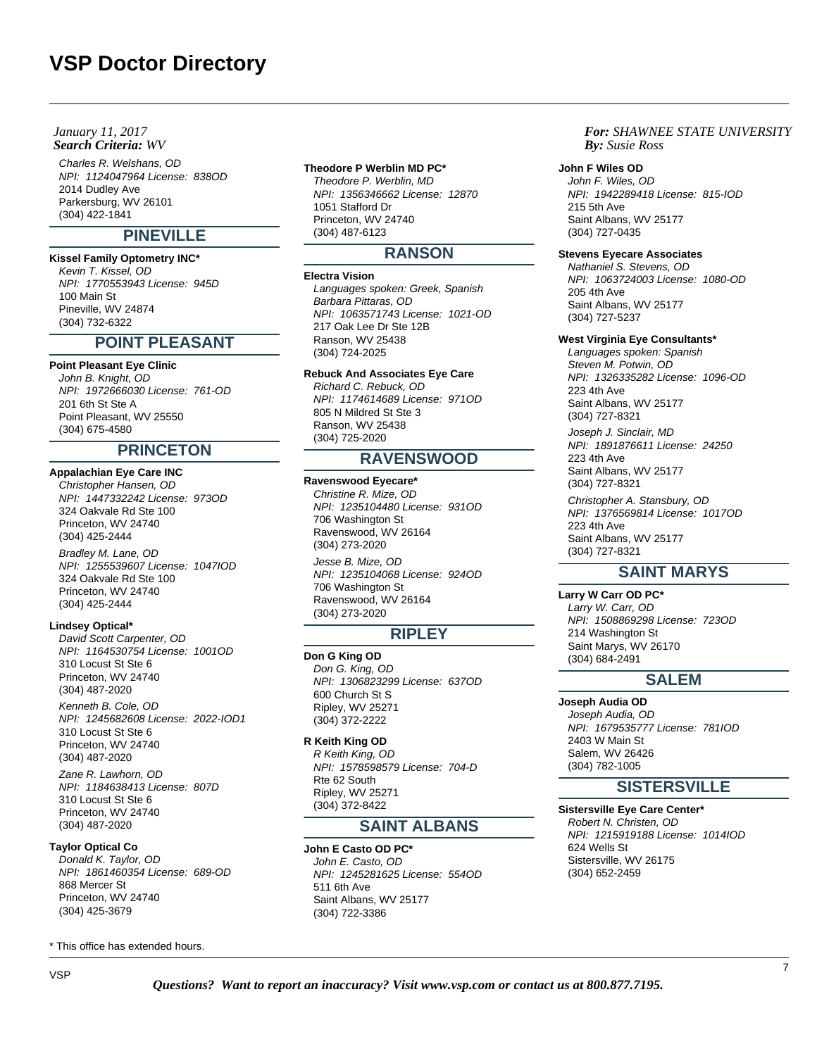### **Search Criteria:** WV **By: By: By: By: By: By: By: By: By: By: By: By: By: By: By: By: By: By: By: By: By: By: By: By: By: By: By: By: By: By: By: By: By: B** *January 11, 2017*

Charles R. Welshans, OD NPI: 1124047964 License: 838OD 2014 Dudley Ave Parkersburg, WV 26101 (304) 422-1841

# **PINEVILLE**

### **Kissel Family Optometry INC\***

Kevin T. Kissel, OD NPI: 1770553943 License: 945D 100 Main St Pineville, WV 24874 (304) 732-6322

### **POINT PLEASANT**

### **Point Pleasant Eye Clinic**

John B. Knight, OD NPI: 1972666030 License: 761-OD 201 6th St Ste A Point Pleasant, WV 25550 (304) 675-4580

# **PRINCETON**

### **Appalachian Eye Care INC**

Christopher Hansen, OD NPI: 1447332242 License: 973OD 324 Oakvale Rd Ste 100 Princeton, WV 24740 (304) 425-2444

Bradley M. Lane, OD NPI: 1255539607 License: 1047IOD 324 Oakvale Rd Ste 100 Princeton, WV 24740 (304) 425-2444

### **Lindsey Optical\***

David Scott Carpenter, OD NPI: 1164530754 License: 1001OD 310 Locust St Ste 6 Princeton, WV 24740 (304) 487-2020 Kenneth B. Cole, OD NPI: 1245682608 License: 2022-IOD1 310 Locust St Ste 6 Princeton, WV 24740 (304) 487-2020

Zane R. Lawhorn, OD NPI: 1184638413 License: 807D 310 Locust St Ste 6 Princeton, WV 24740 (304) 487-2020

### **Taylor Optical Co**

Donald K. Taylor, OD NPI: 1861460354 License: 689-OD 868 Mercer St Princeton, WV 24740 (304) 425-3679

\* This office has extended hours.

### **Theodore P Werblin MD PC\***

Theodore P. Werblin, MD NPI: 1356346662 License: 12870 1051 Stafford Dr Princeton, WV 24740 (304) 487-6123

# **RANSON**

**Electra Vision** Languages spoken: Greek, Spanish Barbara Pittaras, OD NPI: 1063571743 License: 1021-OD 217 Oak Lee Dr Ste 12B Ranson, WV 25438 (304) 724-2025

### **Rebuck And Associates Eye Care**

Richard C. Rebuck, OD NPI: 1174614689 License: 971OD 805 N Mildred St Ste 3 Ranson, WV 25438 (304) 725-2020

# **RAVENSWOOD**

**Ravenswood Eyecare\*** Christine R. Mize, OD NPI: 1235104480 License: 931OD 706 Washington St Ravenswood, WV 26164 (304) 273-2020

Jesse B. Mize, OD NPI: 1235104068 License: 924OD 706 Washington St Ravenswood, WV 26164 (304) 273-2020

# **RIPLEY**

**Don G King OD** Don G. King, OD NPI: 1306823299 License: 637OD 600 Church St S Ripley, WV 25271 (304) 372-2222

### **R Keith King OD**

R Keith King, OD NPI: 1578598579 License: 704-D Rte 62 South Ripley, WV 25271 (304) 372-8422

# **SAINT ALBANS**

**John E Casto OD PC\*** John E. Casto, OD NPI: 1245281625 License: 554OD 511 6th Ave Saint Albans, WV 25177 (304) 722-3386

### *For: SHAWNEE STATE UNIVERSITY Susie Ross*

### **John F Wiles OD**

John F. Wiles, OD NPI: 1942289418 License: 815-IOD 215 5th Ave Saint Albans, WV 25177 (304) 727-0435

### **Stevens Eyecare Associates**

Nathaniel S. Stevens, OD NPI: 1063724003 License: 1080-OD 205 4th Ave Saint Albans, WV 25177 (304) 727-5237

### **West Virginia Eye Consultants\***

Languages spoken: Spanish Steven M. Potwin, OD NPI: 1326335282 License: 1096-OD 223 4th Ave Saint Albans, WV 25177 (304) 727-8321

Joseph J. Sinclair, MD NPI: 1891876611 License: 24250 223 4th Ave Saint Albans, WV 25177 (304) 727-8321

Christopher A. Stansbury, OD NPI: 1376569814 License: 1017OD 223 4th Ave Saint Albans, WV 25177 (304) 727-8321

# **SAINT MARYS**

### **Larry W Carr OD PC\***

Larry W. Carr, OD NPI: 1508869298 License: 723OD 214 Washington St Saint Marys, WV 26170 (304) 684-2491

### **SALEM**

### **Joseph Audia OD**

Joseph Audia, OD NPI: 1679535777 License: 781IOD 2403 W Main St Salem, WV 26426 (304) 782-1005

# **SISTERSVILLE**

**Sistersville Eye Care Center\*** Robert N. Christen, OD NPI: 1215919188 License: 1014IOD 624 Wells St Sistersville, WV 26175 (304) 652-2459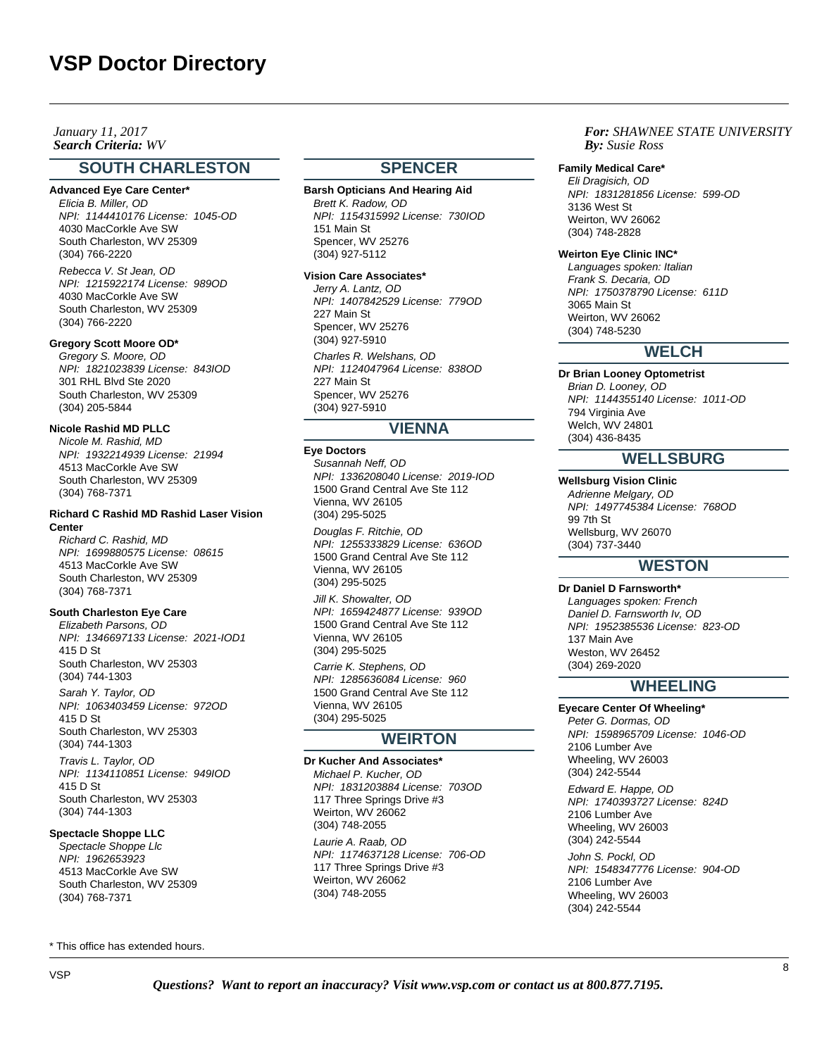### **Search Criteria:** WV **By: By: By: By: By: By: By: By: By: By: By: By: By: By: By: By: By: By: By: By: By: By: By: By: By: By: By: By: By: By: By: By: By: B** *January 11, 2017*

### **SOUTH CHARLESTON**

### **Advanced Eye Care Center\***

Elicia B. Miller, OD NPI: 1144410176 License: 1045-OD 4030 MacCorkle Ave SW South Charleston, WV 25309 (304) 766-2220

Rebecca V. St Jean, OD NPI: 1215922174 License: 989OD 4030 MacCorkle Ave SW South Charleston, WV 25309 (304) 766-2220

### **Gregory Scott Moore OD\***

Gregory S. Moore, OD NPI: 1821023839 License: 843IOD 301 RHL Blvd Ste 2020 South Charleston, WV 25309 (304) 205-5844

### **Nicole Rashid MD PLLC**

Nicole M. Rashid, MD NPI: 1932214939 License: 21994 4513 MacCorkle Ave SW South Charleston, WV 25309 (304) 768-7371

#### **Richard C Rashid MD Rashid Laser Vision Center**

Richard C. Rashid, MD NPI: 1699880575 License: 08615 4513 MacCorkle Ave SW South Charleston, WV 25309 (304) 768-7371

### **South Charleston Eye Care**

Elizabeth Parsons, OD NPI: 1346697133 License: 2021-IOD1 415 D St South Charleston, WV 25303 (304) 744-1303

Sarah Y. Taylor, OD NPI: 1063403459 License: 972OD 415 D St South Charleston, WV 25303 (304) 744-1303

Travis L. Taylor, OD NPI: 1134110851 License: 949IOD 415 D St South Charleston, WV 25303 (304) 744-1303

### **Spectacle Shoppe LLC**

Spectacle Shoppe Llc NPI: 1962653923 4513 MacCorkle Ave SW South Charleston, WV 25309 (304) 768-7371

\* This office has extended hours.

### **SPENCER**

**Barsh Opticians And Hearing Aid** Brett K. Radow, OD NPI: 1154315992 License: 730IOD 151 Main St Spencer, WV 25276 (304) 927-5112

#### **Vision Care Associates\***

Jerry A. Lantz, OD NPI: 1407842529 License: 779OD 227 Main St Spencer, WV 25276 (304) 927-5910 Charles R. Welshans, OD NPI: 1124047964 License: 838OD 227 Main St Spencer, WV 25276 (304) 927-5910

# **VIENNA**

#### **Eye Doctors**

Susannah Neff, OD NPI: 1336208040 License: 2019-IOD 1500 Grand Central Ave Ste 112 Vienna, WV 26105 (304) 295-5025 Douglas F. Ritchie, OD NPI: 1255333829 License: 636OD 1500 Grand Central Ave Ste 112 Vienna, WV 26105 (304) 295-5025

Jill K. Showalter, OD NPI: 1659424877 License: 939OD 1500 Grand Central Ave Ste 112 Vienna, WV 26105 (304) 295-5025

Carrie K. Stephens, OD NPI: 1285636084 License: 960 1500 Grand Central Ave Ste 112 Vienna, WV 26105 (304) 295-5025

### **WEIRTON**

#### **Dr Kucher And Associates\***

Michael P. Kucher, OD NPI: 1831203884 License: 703OD 117 Three Springs Drive #3 Weirton, WV 26062 (304) 748-2055

Laurie A. Raab, OD NPI: 1174637128 License: 706-OD 117 Three Springs Drive #3 Weirton, WV 26062 (304) 748-2055

### *For: SHAWNEE STATE UNIVERSITY Susie Ross*

#### **Family Medical Care\***

Eli Dragisich, OD NPI: 1831281856 License: 599-OD 3136 West St Weirton, WV 26062 (304) 748-2828

#### **Weirton Eye Clinic INC\***

Languages spoken: Italian Frank S. Decaria, OD NPI: 1750378790 License: 611D 3065 Main St Weirton, WV 26062 (304) 748-5230

### **WELCH**

### **Dr Brian Looney Optometrist**

Brian D. Looney, OD NPI: 1144355140 License: 1011-OD 794 Virginia Ave Welch, WV 24801 (304) 436-8435

# **WELLSBURG**

**Wellsburg Vision Clinic** Adrienne Melgary, OD NPI: 1497745384 License: 768OD 99 7th St Wellsburg, WV 26070 (304) 737-3440

### **WESTON**

**Dr Daniel D Farnsworth\*** Languages spoken: French Daniel D. Farnsworth Iv, OD NPI: 1952385536 License: 823-OD 137 Main Ave Weston, WV 26452 (304) 269-2020

### **WHEELING**

### **Eyecare Center Of Wheeling\***

Peter G. Dormas, OD NPI: 1598965709 License: 1046-OD 2106 Lumber Ave Wheeling, WV 26003 (304) 242-5544

Edward E. Happe, OD NPI: 1740393727 License: 824D 2106 Lumber Ave Wheeling, WV 26003 (304) 242-5544

John S. Pockl, OD NPI: 1548347776 License: 904-OD 2106 Lumber Ave Wheeling, WV 26003 (304) 242-5544